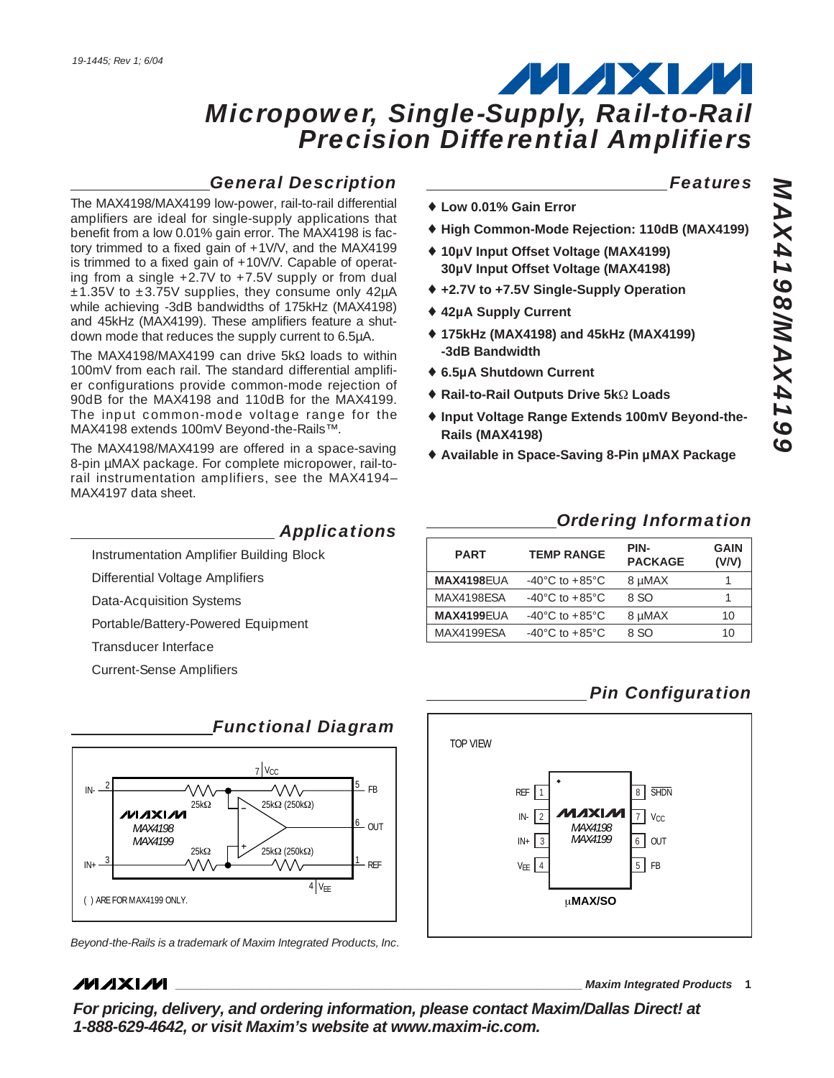## *General Description*

The MAX4198/MAX4199 low-power, rail-to-rail differential amplifiers are ideal for single-supply applications that benefit from a low 0.01% gain error. The MAX4198 is factory trimmed to a fixed gain of +1V/V, and the MAX4199 is trimmed to a fixed gain of +10V/V. Capable of operating from a single +2.7V to +7.5V supply or from dual  $±1.35V$  to  $±3.75V$  supplies, they consume only 42µA while achieving -3dB bandwidths of 175kHz (MAX4198) and 45kHz (MAX4199). These amplifiers feature a shutdown mode that reduces the supply current to 6.5µA.

The MAX4198/MAX4199 can drive 5kΩ loads to within 100mV from each rail. The standard differential amplifier configurations provide common-mode rejection of 90dB for the MAX4198 and 110dB for the MAX4199. The input common-mode voltage range for the MAX4198 extends 100mV Beyond-the-Rails™.

The MAX4198/MAX4199 are offered in a space-saving 8-pin µMAX package. For complete micropower, rail-torail instrumentation amplifiers, see the MAX4194– MAX4197 data sheet.

#### *Applications*

Instrumentation Amplifier Building Block

Differential Voltage Amplifiers

Data-Acquisition Systems

Portable/Battery-Powered Equipment

Transducer Interface

Current-Sense Amplifiers



## *Functional Diagram*

*Beyond-the-Rails is a trademark of Maxim Integrated Products, Inc.*

#### **MAXIM**

**\_\_\_\_\_\_\_\_\_\_\_\_\_\_\_\_\_\_\_\_\_\_\_\_\_\_\_\_\_\_\_\_\_\_\_\_\_\_\_\_\_\_\_\_\_\_\_\_\_\_\_\_\_\_\_\_\_\_\_\_\_\_\_\_ Maxim Integrated Products 1**

**For pricing, delivery, and ordering information, please contact Maxim/Dallas Direct! at 1-888-629-4642, or visit Maxim's website at www.maxim-ic.com.**

#### *Features*

- ♦ **Low 0.01% Gain Error**
- ♦ **High Common-Mode Rejection: 110dB (MAX4199)**
- ♦ **10µV Input Offset Voltage (MAX4199) 30µV Input Offset Voltage (MAX4198)**
- ♦ **+2.7V to +7.5V Single-Supply Operation**
- ♦ **42µA Supply Current**
- ♦ **175kHz (MAX4198) and 45kHz (MAX4199) -3dB Bandwidth**
- ♦ **6.5µA Shutdown Current**
- ♦ **Rail-to-Rail Outputs Drive 5k**Ω **Loads**
- ♦ **Input Voltage Range Extends 100mV Beyond-the-Rails (MAX4198)**
- ♦ **Available in Space-Saving 8-Pin µMAX Package**

### *Ordering Information*

| <b>PART</b>       | <b>TEMP RANGE</b>                   | PIN-<br><b>PACKAGE</b> | <b>GAIN</b><br>(V/V) |
|-------------------|-------------------------------------|------------------------|----------------------|
| <b>MAX4198FUA</b> | $-40^{\circ}$ C to $+85^{\circ}$ C  | 8 µMAX                 |                      |
| MAX4198ESA        | $-40^{\circ}$ C to $+85^{\circ}$ C. | 8.SO                   |                      |
| <b>MAX4199EUA</b> | $-40^{\circ}$ C to $+85^{\circ}$ C  | 8 µMAX                 | 10                   |
| MAX4199FSA        | $-40^{\circ}$ C to $+85^{\circ}$ C  | 8.SO                   | 10                   |
|                   |                                     |                        |                      |

## *Pin Configuration*

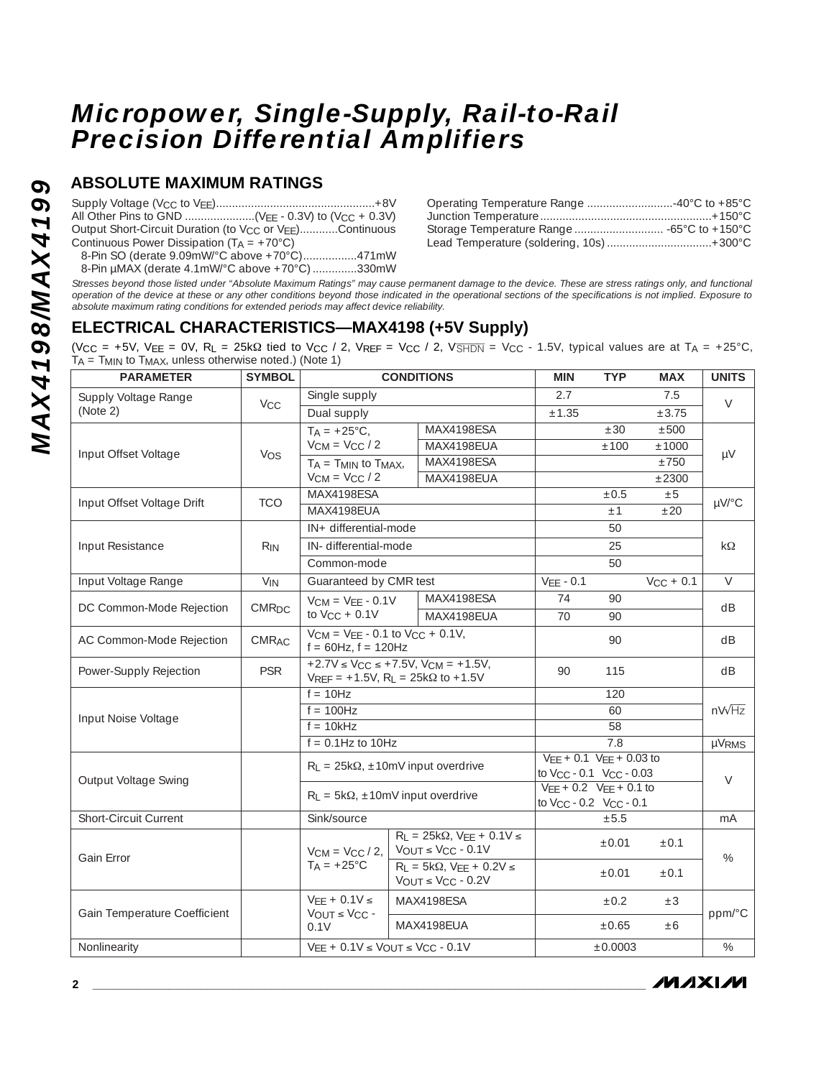## **ABSOLUTE MAXIMUM RATINGS**

| Output Short-Circuit Duration (to V <sub>CC</sub> or V <sub>EE</sub> )Continuous |
|----------------------------------------------------------------------------------|
| Continuous Power Dissipation $(T_A = +70^{\circ}C)$                              |
| 8-Pin SO (derate 9.09mW/°C above +70°C)471mW                                     |
| 8-Pin µMAX (derate 4.1mW/°C above +70°C) 330mW                                   |

| Lead Temperature (soldering, 10s) +300°C |  |
|------------------------------------------|--|

*Stresses beyond those listed under "Absolute Maximum Ratings" may cause permanent damage to the device. These are stress ratings only, and functional operation of the device at these or any other conditions beyond those indicated in the operational sections of the specifications is not implied. Exposure to absolute maximum rating conditions for extended periods may affect device reliability.*

## **ELECTRICAL CHARACTERISTICS—MAX4198 (+5V Supply)**

(V<sub>CC</sub> = +5V, V<sub>EE</sub> = 0V, R<sub>L</sub> = 25k $\Omega$  tied to V<sub>CC</sub> / 2, V<sub>REF</sub> = V<sub>CC</sub> / 2, V<sub>SHDN</sub> = V<sub>CC</sub> - 1.5V, typical values are at T<sub>A</sub> = +25°C,  $T_A$  =  $T_{MIN}$  to  $T_{MAX}$ , unless otherwise noted.) (Note 1)

| <b>PARAMETER</b>             | <b>SYMBOL</b>           | <b>CONDITIONS</b>                                                                                              |  |                                                                        | <b>MIN</b>                                                                   | <b>TYP</b> | <b>MAX</b>     | <b>UNITS</b> |  |
|------------------------------|-------------------------|----------------------------------------------------------------------------------------------------------------|--|------------------------------------------------------------------------|------------------------------------------------------------------------------|------------|----------------|--------------|--|
| Supply Voltage Range         |                         | Single supply                                                                                                  |  |                                                                        | 2.7                                                                          |            | 7.5            | $\vee$       |  |
| (Note 2)                     | <b>V<sub>CC</sub></b>   | Dual supply                                                                                                    |  |                                                                        | $\pm 1.35$                                                                   |            | ± 3.75         |              |  |
|                              |                         | $T_A = +25^{\circ}C$ ,                                                                                         |  | MAX4198ESA                                                             |                                                                              | ±30        | ±500           |              |  |
| Input Offset Voltage         | <b>VOS</b>              | $V_{CM} = V_{CC} / 2$                                                                                          |  | MAX4198EUA                                                             |                                                                              | ±100       | ±1000          | μV           |  |
|                              |                         | $T_A = T_{MIN}$ to $T_{MAX}$                                                                                   |  | MAX4198ESA                                                             |                                                                              |            | $\pm 750$      |              |  |
|                              |                         | $V_{CM} = V_{CC} / 2$                                                                                          |  | MAX4198EUA                                                             |                                                                              |            | ±2300          |              |  |
| Input Offset Voltage Drift   | <b>TCO</b>              | MAX4198ESA                                                                                                     |  |                                                                        |                                                                              | $\pm 0.5$  | ±5             | µV/°C        |  |
|                              |                         | MAX4198EUA                                                                                                     |  |                                                                        |                                                                              | ±1         | ±20            |              |  |
|                              |                         | IN+ differential-mode                                                                                          |  |                                                                        |                                                                              | 50         |                |              |  |
| Input Resistance             | $R_{IN}$                | IN-differential-mode                                                                                           |  |                                                                        |                                                                              | 25         |                | $k\Omega$    |  |
|                              |                         | Common-mode                                                                                                    |  |                                                                        |                                                                              | 50         |                |              |  |
| Input Voltage Range          | $V_{IN}$                | Guaranteed by CMR test                                                                                         |  |                                                                        | $VEE - 0.1$                                                                  |            | $V_{CC}$ + 0.1 | $\vee$       |  |
|                              |                         | $V_{CM} = V_{EE} - 0.1V$                                                                                       |  | MAX4198ESA                                                             | 74                                                                           | 90         |                |              |  |
| DC Common-Mode Rejection     | <b>CMR<sub>DC</sub></b> | to $V_{CC}$ + 0.1V                                                                                             |  | MAX4198FUA                                                             | 70                                                                           | 90         |                | dB           |  |
| AC Common-Mode Rejection     | <b>CMRAC</b>            | $V_{CM}$ = $V_{EE}$ - 0.1 to $V_{CC}$ + 0.1V,<br>$f = 60$ Hz, $f = 120$ Hz                                     |  |                                                                        |                                                                              | 90         |                | dB           |  |
| Power-Supply Rejection       | <b>PSR</b>              | $+2.7V \le V_{CC} \le +7.5V$ , $V_{CM} = +1.5V$ ,<br>$V_{REF}$ = +1.5V, R <sub>L</sub> = 25k $\Omega$ to +1.5V |  |                                                                        | 90                                                                           | 115        |                | dB           |  |
|                              |                         | $f = 10Hz$                                                                                                     |  |                                                                        |                                                                              | 120        |                |              |  |
| Input Noise Voltage          |                         | $f = 100$ Hz                                                                                                   |  |                                                                        |                                                                              |            | $nV\sqrt{Hz}$  |              |  |
|                              |                         | $f = 10kHz$                                                                                                    |  |                                                                        |                                                                              |            |                |              |  |
|                              |                         | $f = 0.1$ Hz to 10Hz                                                                                           |  |                                                                        | µVRMS                                                                        |            |                |              |  |
|                              |                         | $R_L = 25k\Omega$ , ±10mV input overdrive                                                                      |  | $VEE + 0.1 VEE + 0.03 to$                                              |                                                                              |            |                |              |  |
| Output Voltage Swing         |                         |                                                                                                                |  |                                                                        | to Vcc - 0.1 Vcc - 0.03                                                      |            |                | $\vee$       |  |
|                              |                         | $R_L = 5k\Omega$ , ±10mV input overdrive                                                                       |  |                                                                        | $VEE + 0.2$ $VEE + 0.1$ to<br>to V <sub>CC</sub> - 0.2 V <sub>CC</sub> - 0.1 |            |                |              |  |
| <b>Short-Circuit Current</b> |                         | Sink/source                                                                                                    |  |                                                                        | ±5.5                                                                         |            | mA             |              |  |
|                              |                         |                                                                                                                |  | $R_L = 25k\Omega$ , $VEE + 0.1V \le$                                   |                                                                              |            |                |              |  |
| Gain Error                   |                         | $VCM = VCC/2$                                                                                                  |  | $VOUT \leq VCC - 0.1V$                                                 |                                                                              | $\pm 0.01$ | $\pm 0.1$      | $\%$         |  |
|                              |                         | $TA = +25^{\circ}C$                                                                                            |  | $R_1 = 5k\Omega$ , $V_{EE} + 0.2V \le$<br>$V_{OUT} \leq V_{CC} - 0.2V$ |                                                                              | ±0.01      | $\pm 0.1$      |              |  |
| Gain Temperature Coefficient |                         | $VEE + 0.1V \le$<br>$V_{OUT}$ $\leq$ $V_{CC}$ -                                                                |  | MAX4198ESA                                                             |                                                                              | ±0.2       | $\pm 3$        | ppm/°C       |  |
|                              |                         | 0.1V                                                                                                           |  | MAX4198EUA                                                             |                                                                              | $\pm 0.65$ | ±6             |              |  |
| Nonlinearity                 |                         | $V_{EE}$ + 0.1V $\leq$ $V_{OUT}$ $\leq$ $V_{CC}$ - 0.1V                                                        |  |                                                                        |                                                                              | ±0.0003    |                | $\%$         |  |

**MAXIM**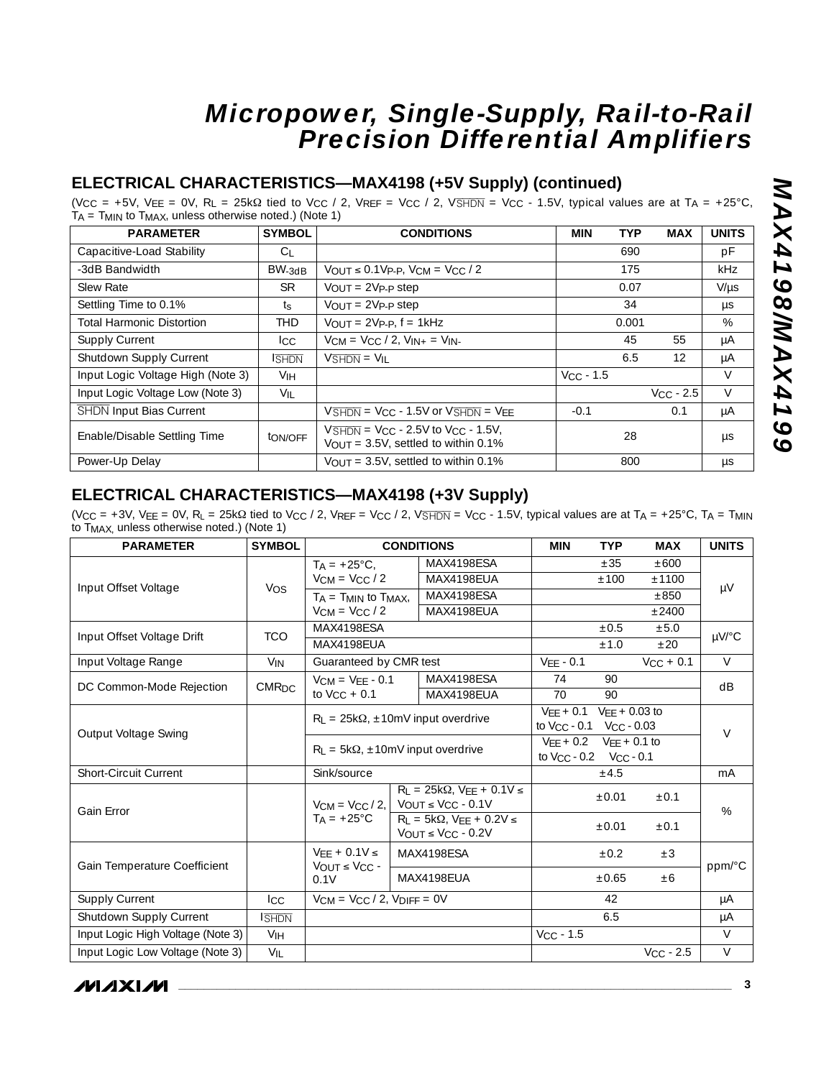## **ELECTRICAL CHARACTERISTICS—MAX4198 (+5V Supply) (continued)**

(V<sub>CC</sub> = +5V, V<sub>EE</sub> = 0V, R<sub>L</sub> = 25kΩ tied to V<sub>CC</sub> / 2, V<sub>REF</sub> = V<sub>CC</sub> / 2, V<sub>SHDN</sub> = V<sub>CC</sub> - 1.5V, typical values are at T<sub>A</sub> = +25°C TA = TMIN to TMAX, unless otherwise noted.) (Note 1)

| <b>PARAMETER</b>                  | <b>SYMBOL</b>   | <b>CONDITIONS</b>                                                                                                                 | <b>MIN</b>     | <b>TYP</b> | <b>MAX</b>     | <b>UNITS</b> |
|-----------------------------------|-----------------|-----------------------------------------------------------------------------------------------------------------------------------|----------------|------------|----------------|--------------|
| Capacitive-Load Stability         | C <sub>1</sub>  |                                                                                                                                   |                | 690        |                | pF           |
| -3dB Bandwidth                    | $BW-3dB$        | $V_{OUT} \le 0.1V_{P-P}$ , $V_{CM} = V_{CC} / 2$                                                                                  |                | 175        |                | <b>kHz</b>   |
| Slew Rate                         | <b>SR</b>       | $V_{\text{OUT}} = 2V_{\text{P-P}}$ step                                                                                           |                | 0.07       |                | $V/\mu s$    |
| Settling Time to 0.1%             | $t_{\rm S}$     | $V_{OUT} = 2V_{P-P}$ step                                                                                                         |                | 34         |                | μs           |
| <b>Total Harmonic Distortion</b>  | THD             | $V_{OUT} = 2V_{P-P}$ , $f = 1kHz$                                                                                                 |                | 0.001      |                | %            |
| <b>Supply Current</b>             | lcc.            | $V_{CM} = V_{CC} / 2$ , $V_{IN+} = V_{IN-}$                                                                                       |                | 45         | 55             | μA           |
| Shutdown Supply Current           | <b>SHDN</b>     | $V\overline{\text{SHDN}} = V_{\text{II}}$                                                                                         |                | 6.5        | 12             | μA           |
| Input Logic Voltage High (Note 3) | Vін             |                                                                                                                                   | $V_{CC}$ - 1.5 |            |                | V            |
| Input Logic Voltage Low (Note 3)  | $V_{\parallel}$ |                                                                                                                                   |                |            | $V_{CC} - 2.5$ | $\vee$       |
| <b>SHDN Input Bias Current</b>    |                 | $V\overline{\text{SHDN}}$ = V <sub>CC</sub> - 1.5V or $V\overline{\text{SHDN}}$ = V <sub>FF</sub>                                 | $-0.1$         |            | 0.1            | μA           |
| Enable/Disable Settling Time      | ton/off         | $V\overline{\text{SHDN}}$ = V <sub>CC</sub> - 2.5V to V <sub>CC</sub> - 1.5V,<br>$V_{\text{OUT}} = 3.5V$ , settled to within 0.1% |                | 28         |                | μs           |
| Power-Up Delay                    |                 | $V_{\text{OUT}} = 3.5V$ , settled to within 0.1%                                                                                  |                | 800        |                | μs           |

### **ELECTRICAL CHARACTERISTICS—MAX4198 (+3V Supply)**

(V<sub>CC</sub> = +3V, V<sub>EE</sub> = 0V, R<sub>L</sub> = 25k $\Omega$  tied to V<sub>CC</sub> / 2, V<sub>REF</sub> = V<sub>CC</sub> / 2, V<sub>SHDN</sub> = V<sub>CC</sub> - 1.5V, typical values are at T<sub>A</sub> = +25°C, T<sub>A</sub> = T<sub>MIN</sub> to TMAX, unless otherwise noted.) (Note 1)

| <b>PARAMETER</b>                  | <b>SYMBOL</b>           | <b>CONDITIONS</b>                                                                     |  |                                                                                      | <b>MIN</b>     | <b>TYP</b> | <b>MAX</b>     | <b>UNITS</b> |  |
|-----------------------------------|-------------------------|---------------------------------------------------------------------------------------|--|--------------------------------------------------------------------------------------|----------------|------------|----------------|--------------|--|
|                                   |                         | $T_A = +25^{\circ}C$ ,                                                                |  | MAX4198ESA                                                                           |                | ±35        | ±600           |              |  |
| Input Offset Voltage              | Vos                     | $V_{CM} = V_{CC}/2$                                                                   |  | MAX4198EUA                                                                           |                | ±100       | ±1100          |              |  |
|                                   |                         | $T_A = T_{MIN}$ to $T_{MAX}$                                                          |  | MAX4198ESA                                                                           |                |            | ±850           | $\mu$ V      |  |
|                                   |                         | $V_{CM} = V_{CC}/2$                                                                   |  | MAX4198EUA                                                                           |                |            | ±2400          |              |  |
| Input Offset Voltage Drift        | <b>TCO</b>              | MAX4198ESA                                                                            |  |                                                                                      |                | $\pm 0.5$  | ±5.0           | µV/°C        |  |
|                                   |                         | MAX4198EUA                                                                            |  |                                                                                      |                | ±1.0       | ±20            |              |  |
| Input Voltage Range               | <b>V<sub>IN</sub></b>   | Guaranteed by CMR test                                                                |  |                                                                                      | $VFF - 0.1$    |            | $V_{CC}$ + 0.1 | $\vee$       |  |
|                                   | <b>CMR<sub>DC</sub></b> | $V_{CM} = V_{EE} - 0.1$                                                               |  | MAX4198ESA                                                                           | 74             | 90         |                | dB           |  |
| DC Common-Mode Rejection          |                         | to $V_{CC}$ + 0.1                                                                     |  | MAX4198EUA                                                                           | 70             | 90         |                |              |  |
|                                   |                         | $R_L = 25k\Omega$ , ±10mV input overdrive<br>$R_1 = 5k\Omega$ , ±10mV input overdrive |  | $VEE + 0.1$ $VEE + 0.03$ to<br>to $V_{CC}$ - 0.1 $V_{CC}$ - 0.03                     |                |            |                |              |  |
| Output Voltage Swing              |                         |                                                                                       |  | $VFF + 0.2$ $VFF + 0.1$ to                                                           | $\vee$         |            |                |              |  |
| <b>Short-Circuit Current</b>      |                         |                                                                                       |  | to V <sub>CC</sub> - 0.2    V <sub>CC</sub> - 0.1                                    |                |            |                |              |  |
|                                   |                         | Sink/source                                                                           |  |                                                                                      |                | ±4.5       |                | mA           |  |
| Gain Error                        |                         | $V_{CM} = V_{CC}/2$                                                                   |  | $R_1 = 25k\Omega$ , VFF + 0.1V $\leq$<br>$V$ OUT $\leq$ VCC - 0.1V                   |                | $\pm 0.01$ | ±0.1           | %            |  |
|                                   |                         | $T_A = +25^{\circ}C$                                                                  |  | $R_L = 5k\Omega$ , $V_{EE} + 0.2V \le$<br>$V_{\text{OUT}} \leq V_{\text{CC}} - 0.2V$ |                | $\pm 0.01$ | ±0.1           |              |  |
| Gain Temperature Coefficient      |                         | $VEE + 0.1V \leq$<br>$V_{\text{OUT}} \leq V_{\text{CC}}$ -                            |  | MAX4198ESA                                                                           |                | $\pm 0.2$  | $\pm 3$        | ppm/°C       |  |
|                                   |                         | 0.1V                                                                                  |  | MAX4198EUA                                                                           |                | ±0.65      | ±6             |              |  |
| <b>Supply Current</b>             | <b>ICC</b>              | $V_{CM}$ = $V_{CC}$ / 2, $V_{DIFF}$ = 0V                                              |  |                                                                                      |                | 42         |                | μA           |  |
| Shutdown Supply Current           | <b>SHDN</b>             |                                                                                       |  |                                                                                      |                | 6.5        |                | μA           |  |
| Input Logic High Voltage (Note 3) | <b>V<sub>IH</sub></b>   |                                                                                       |  |                                                                                      | $V_{CC}$ - 1.5 |            |                | $\vee$       |  |
| Input Logic Low Voltage (Note 3)  | $V_{IL}$                |                                                                                       |  |                                                                                      |                |            | $V_{CC}$ - 2.5 | $\vee$       |  |

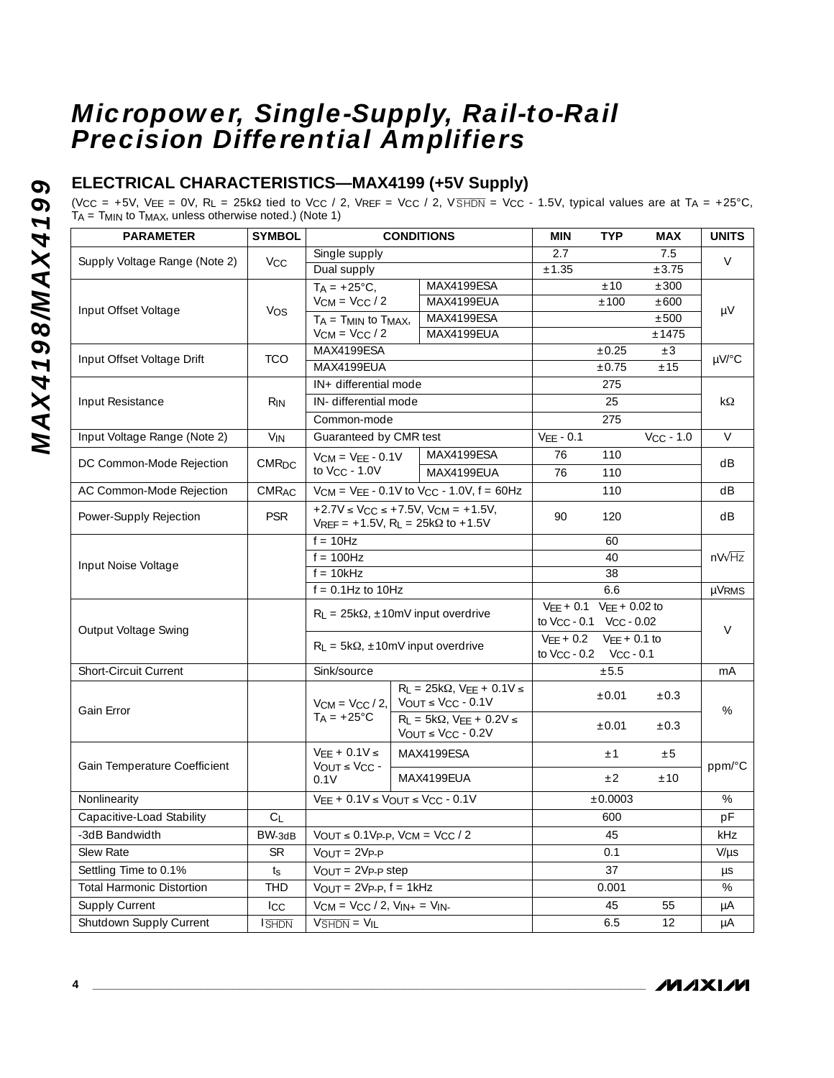## **ELECTRICAL CHARACTERISTICS—MAX4199 (+5V Supply)**

(V<sub>CC</sub> = +5V, V<sub>EE</sub> = 0V, R<sub>L</sub> = 25k $\Omega$  tied to V<sub>CC</sub> / 2, V<sub>REF</sub> = V<sub>CC</sub> / 2, V<sub>SHDN</sub> = V<sub>CC</sub> - 1.5V, typical values are at T<sub>A</sub> = +25°C, TA = TMIN to TMAX, unless otherwise noted.) (Note 1)

| <b>PARAMETER</b>                 | <b>SYMBOL</b>   | <b>CONDITIONS</b>                                                                    |                                |                                                                                | <b>MIN</b>                                                                      | <b>TYP</b>        | <b>MAX</b>                | <b>UNITS</b> |  |  |  |
|----------------------------------|-----------------|--------------------------------------------------------------------------------------|--------------------------------|--------------------------------------------------------------------------------|---------------------------------------------------------------------------------|-------------------|---------------------------|--------------|--|--|--|
|                                  |                 | Single supply                                                                        |                                | 2.7                                                                            |                                                                                 | 7.5               | $\vee$                    |              |  |  |  |
| Supply Voltage Range (Note 2)    | V <sub>CC</sub> | Dual supply                                                                          |                                |                                                                                | ±1.35                                                                           |                   | ±3.75                     |              |  |  |  |
|                                  |                 | $T_A = +25^{\circ}C$ ,                                                               |                                | MAX4199ESA                                                                     |                                                                                 | ±10               | ±300                      |              |  |  |  |
| Input Offset Voltage             | <b>VOS</b>      | $V_{CM} = V_{CC}/2$                                                                  |                                | MAX4199EUA                                                                     |                                                                                 | ±100              | ±600                      | μV           |  |  |  |
|                                  |                 | $TA = TMIN$ to $TMAX$ ,                                                              |                                | MAX4199ESA                                                                     |                                                                                 |                   | ±500                      |              |  |  |  |
|                                  |                 | $V_{CM}$ = $V_{CC}$ / 2                                                              |                                | MAX4199EUA                                                                     |                                                                                 |                   | ±1475                     |              |  |  |  |
| Input Offset Voltage Drift       | <b>TCO</b>      | MAX4199ESA                                                                           |                                |                                                                                |                                                                                 | ±0.25             | ±3                        | $\mu$ V/°C   |  |  |  |
|                                  |                 | MAX4199EUA                                                                           |                                |                                                                                | ±0.75                                                                           | ±15               |                           |              |  |  |  |
|                                  |                 | IN+ differential mode                                                                |                                |                                                                                |                                                                                 | 275               |                           |              |  |  |  |
| Input Resistance                 | R <sub>IN</sub> | IN- differential mode                                                                |                                |                                                                                |                                                                                 | 25                |                           | kΩ           |  |  |  |
|                                  |                 | Common-mode                                                                          |                                |                                                                                |                                                                                 | 275               |                           |              |  |  |  |
| Input Voltage Range (Note 2)     | $V_{IN}$        | Guaranteed by CMR test                                                               |                                |                                                                                | $VEE - 0.1$                                                                     |                   | $\overline{V_{CC}}$ - 1.0 | $\vee$       |  |  |  |
|                                  |                 | $V_{CM} = V_{EE} - 0.1V$                                                             |                                | MAX4199ESA                                                                     | 76                                                                              | 110               |                           |              |  |  |  |
| DC Common-Mode Rejection         | CMRDC           | to Vcc - 1.0V                                                                        |                                | MAX4199EUA                                                                     | 76                                                                              | 110               |                           | dB           |  |  |  |
| AC Common-Mode Rejection         | <b>CMRAC</b>    |                                                                                      |                                | $V_{CM} = V_{EE} - 0.1V$ to $V_{CC} - 1.0V$ , $f = 60Hz$                       |                                                                                 | 110               |                           | dB           |  |  |  |
| Power-Supply Rejection           | <b>PSR</b>      |                                                                                      |                                | $+2.7V \le V_{CC} \le +7.5V$ , $V_{CM} = +1.5V$ ,                              | 90                                                                              | 120               |                           | dB           |  |  |  |
|                                  |                 | $V_{REF}$ = +1.5V, R <sub>L</sub> = 25k $\Omega$ to +1.5V                            |                                |                                                                                |                                                                                 |                   |                           |              |  |  |  |
|                                  |                 | $f = 10Hz$                                                                           |                                |                                                                                |                                                                                 | 60<br>40          |                           |              |  |  |  |
| Input Noise Voltage              |                 | $f = 100$ Hz                                                                         |                                |                                                                                |                                                                                 | nV <sub>VHz</sub> |                           |              |  |  |  |
|                                  |                 | $f = 10kHz$                                                                          |                                |                                                                                |                                                                                 | 38                |                           |              |  |  |  |
|                                  |                 | $f = 0.1$ Hz to 10Hz                                                                 |                                |                                                                                | 6.6                                                                             |                   | <b>µVRMS</b>              |              |  |  |  |
|                                  |                 | $R_L = 25k\Omega$ , ±10mV input overdrive                                            |                                | $VEE + 0.1$ $VEE + 0.02$ to<br>to V <sub>CC</sub> - 0.1 V <sub>CC</sub> - 0.02 |                                                                                 |                   |                           |              |  |  |  |
| Output Voltage Swing             |                 |                                                                                      |                                |                                                                                |                                                                                 | $\vee$            |                           |              |  |  |  |
|                                  |                 | $R_1 = 5k\Omega$ , $\pm 10$ mV input overdrive                                       |                                |                                                                                | $VEE + 0.2$ $VEE + 0.1$ to<br>to V <sub>CC</sub> - 0.2    V <sub>CC</sub> - 0.1 |                   |                           |              |  |  |  |
| <b>Short-Circuit Current</b>     |                 | Sink/source                                                                          |                                |                                                                                |                                                                                 | mA                |                           |              |  |  |  |
|                                  |                 |                                                                                      |                                |                                                                                |                                                                                 | ±5.5              |                           |              |  |  |  |
|                                  |                 | $V_{CM} = V_{CC}/2,$                                                                 |                                | $R_L = 25k\Omega$ , $V_{EE} + 0.1V \le$<br>$V_{OUT} \leq V_{CC} - 0.1V$        | ±0.01                                                                           |                   | $\pm 0.3$                 |              |  |  |  |
| Gain Error                       |                 | $T_A = +25^{\circ}C$                                                                 |                                | $R_L = 5k\Omega$ , VEE + 0.2V $\leq$                                           |                                                                                 |                   |                           | $\%$         |  |  |  |
|                                  |                 |                                                                                      |                                | $V_{\text{OUT}} \leq V_{\text{CC}}$ - 0.2V                                     |                                                                                 | $\pm 0.01$        | $\pm 0.3$                 |              |  |  |  |
|                                  |                 |                                                                                      | $VEE + 0.1V \le$<br>MAX4199ESA |                                                                                |                                                                                 | $\pm$ 1           | ±5                        |              |  |  |  |
| Gain Temperature Coefficient     |                 | $V_{\text{OUT}} \leq V_{\text{CC}}$ -<br>0.1V                                        |                                | MAX4199EUA                                                                     |                                                                                 | ±2                | ±10                       | ppm/°C       |  |  |  |
| Nonlinearity                     |                 | $VEE + 0.1V \leq VOUT \leq VCC - 0.1V$                                               |                                |                                                                                | ±0.0003                                                                         |                   | $\%$                      |              |  |  |  |
| Capacitive-Load Stability        | $C_{\parallel}$ |                                                                                      |                                |                                                                                | 600                                                                             |                   | pF                        |              |  |  |  |
| -3dB Bandwidth                   | $BW-3dB$        | $\overline{V_{\text{OUT}}}\leq 0.1 V_{\text{P-P}}$ , $V_{\text{CM}}=V_{\text{CC}}/2$ |                                |                                                                                | 45                                                                              |                   | kHz                       |              |  |  |  |
| Slew Rate                        | <b>SR</b>       | $VOUT = 2VP-P$                                                                       |                                |                                                                                | 0.1                                                                             |                   | $V/\mu s$                 |              |  |  |  |
| Settling Time to 0.1%            | $t_{\rm S}$     | $V_{OUT} = 2V_{P-P}$ step                                                            |                                |                                                                                | 37                                                                              |                   | $\mu s$                   |              |  |  |  |
| <b>Total Harmonic Distortion</b> | <b>THD</b>      | $V_{OUT} = 2V_{P-P}$ , $f = 1kHz$                                                    |                                |                                                                                |                                                                                 | 0.001             |                           | %            |  |  |  |
| <b>Supply Current</b>            | $_{\rm{LCC}}$   | $V_{CM} = V_{CC} / 2$ , $V_{IN+} = V_{IN-}$                                          |                                |                                                                                |                                                                                 | 45                | 55                        | μA           |  |  |  |
|                                  |                 |                                                                                      |                                |                                                                                |                                                                                 |                   |                           |              |  |  |  |
| Shutdown Supply Current          | <b>SHDN</b>     | $V\overline{SHDN} = VIL$                                                             |                                |                                                                                |                                                                                 | 6.5               | 12                        | μA           |  |  |  |

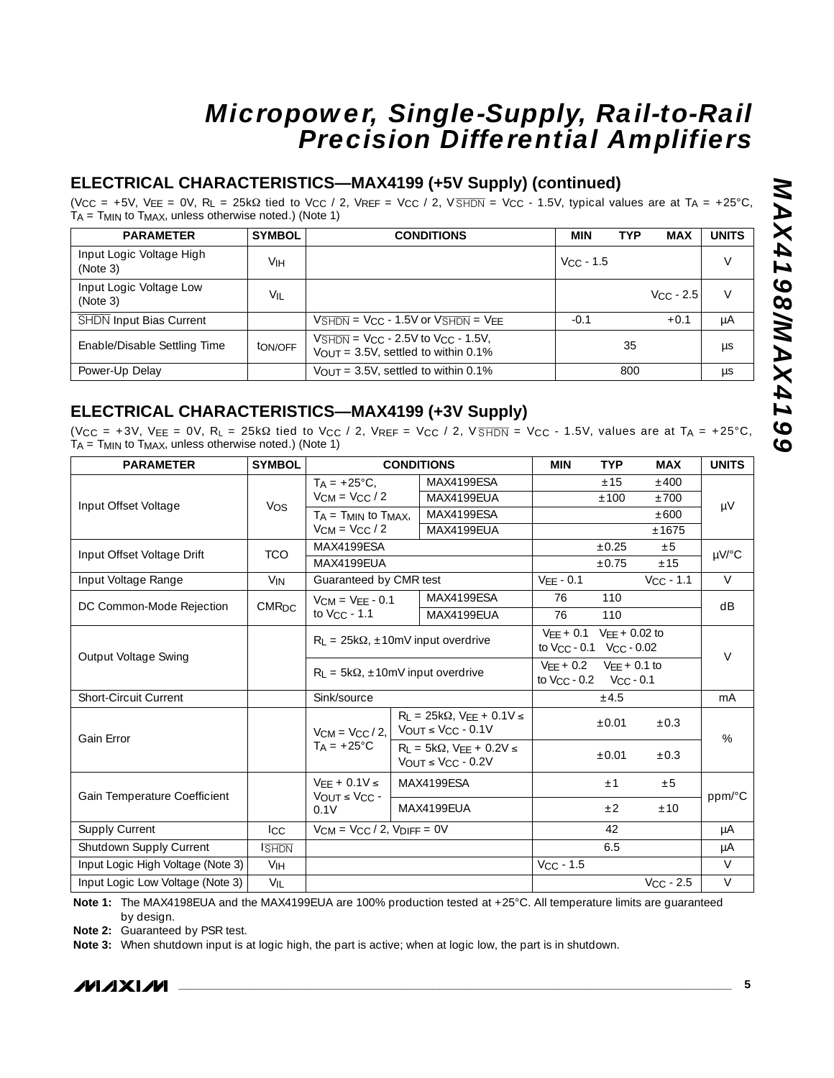### **ELECTRICAL CHARACTERISTICS—MAX4199 (+5V Supply) (continued)**

(V<sub>CC</sub> = +5V, V<sub>EE</sub> = 0V, R<sub>L</sub> = 25kΩ tied to V<sub>CC</sub> / 2, V<sub>REF</sub> = V<sub>CC</sub> / 2, V<sub>SHDN</sub> = V<sub>CC</sub> - 1.5V, typical values are at T<sub>A</sub> = +25°C TA = TMIN to TMAX, unless otherwise noted.) (Note 1)

| <b>PARAMETER</b>                     | <b>SYMBOL</b>   | <b>CONDITIONS</b>                                                                                                                 | <b>MIN</b>         | <b>TYP</b> | <b>MAX</b>  | <b>UNITS</b> |
|--------------------------------------|-----------------|-----------------------------------------------------------------------------------------------------------------------------------|--------------------|------------|-------------|--------------|
| Input Logic Voltage High<br>(Note 3) | V <sub>IH</sub> |                                                                                                                                   | $V_{\rm CC}$ - 1.5 |            |             | $\vee$       |
| Input Logic Voltage Low<br>(Note 3)  | Vıı             |                                                                                                                                   |                    |            | $Vcc - 2.5$ | V            |
| <b>SHDN</b> Input Bias Current       |                 | $V\overline{\text{SHDN}}$ = V <sub>CC</sub> - 1.5V or $V\overline{\text{SHDN}}$ = V <sub>EE</sub>                                 | $-0.1$             |            | $+0.1$      | μA           |
| Enable/Disable Settling Time         | ton/off         | $V\overline{\text{SHDN}}$ = V <sub>CC</sub> - 2.5V to V <sub>CC</sub> - 1.5V,<br>$V_{\text{OUT}} = 3.5V$ , settled to within 0.1% |                    | 35         |             | μs           |
| Power-Up Delay                       |                 | $V_{\text{OUT}} = 3.5V$ , settled to within 0.1%                                                                                  |                    | 800        |             | <b>US</b>    |

## **ELECTRICAL CHARACTERISTICS—MAX4199 (+3V Supply)**

(V<sub>CC</sub> = +3V, V<sub>EE</sub> = 0V, R<sub>L</sub> = 25k $\Omega$  tied to V<sub>CC</sub> / 2, V<sub>REF</sub> = V<sub>CC</sub> / 2, V<sub>SHDN</sub> = V<sub>CC</sub> - 1.5V, values are at T<sub>A</sub> = +25°C, TA = TMIN to TMAX, unless otherwise noted.) (Note 1)

| <b>PARAMETER</b>                  | <b>SYMBOL</b>           | <b>CONDITIONS</b>                         |                                          |                                                               | <b>MIN</b>                 | <b>TYP</b> | <b>MAX</b>     | <b>UNITS</b> |
|-----------------------------------|-------------------------|-------------------------------------------|------------------------------------------|---------------------------------------------------------------|----------------------------|------------|----------------|--------------|
|                                   |                         | $T_A = +25^{\circ}C$ ,                    |                                          | MAX4199ESA                                                    |                            | ±15        | ±400           |              |
| Input Offset Voltage              | Vos                     | $V_{CM} = V_{CC} / 2$                     |                                          | MAX4199EUA                                                    |                            | ±100       | ±700           | $\mu V$      |
|                                   |                         | $TA = TMIN$ to $TMAX$ ,                   |                                          | MAX4199ESA                                                    |                            |            | ±600           |              |
|                                   |                         | $V_{CM} = V_{CC} / 2$                     |                                          | MAX4199EUA                                                    |                            |            | ±1675          |              |
| Input Offset Voltage Drift        | <b>TCO</b>              | MAX4199FSA                                |                                          |                                                               |                            | ±0.25      | $\pm 5$        | µV/°C        |
|                                   |                         | MAX4199FUA                                |                                          |                                                               |                            | ±0.75      | ±15            |              |
| Input Voltage Range               | <b>V<sub>IN</sub></b>   | Guaranteed by CMR test                    |                                          |                                                               | $VEE - 0.1$                |            | $V_{CC}$ - 1.1 | $\vee$       |
|                                   | <b>CMR<sub>DC</sub></b> | $V_{CM} = V_{EE} - 0.1$                   |                                          | MAX4199ESA                                                    | 76                         | 110        |                | dB           |
| DC Common-Mode Rejection          |                         | to $V_{CC}$ - 1.1                         |                                          | MAX4199EUA                                                    | 76                         | 110        |                |              |
|                                   |                         | $R_L = 25k\Omega$ , ±10mV input overdrive |                                          | $V_{EE}$ + 0.1 $V_{EE}$ + 0.02 to                             |                            |            |                |              |
| Output Voltage Swing              |                         |                                           |                                          | to $V_{CC}$ - 0.1 $V_{CC}$ - 0.02                             |                            |            | $\vee$         |              |
|                                   |                         |                                           | $R_L = 5k\Omega$ , ±10mV input overdrive |                                                               | $VFF + 0.2$ $VFF + 0.1$ to |            |                |              |
|                                   |                         |                                           |                                          | to V <sub>CC</sub> - 0.2    V <sub>CC</sub> - 0.1             |                            |            |                |              |
| <b>Short-Circuit Current</b>      |                         | Sink/source                               |                                          |                                                               |                            | ±4.5       |                | mA           |
|                                   |                         |                                           |                                          | $R_L = 25k\Omega$ , $V_{EE} + 0.1V \le$                       |                            | $\pm 0.01$ | $\pm 0.3$      |              |
| Gain Error                        |                         | $V_{CM} = V_{CC} / 2$                     |                                          | $V_{\text{OUT}} \leq V_{\text{CC}}$ - 0.1V                    |                            |            |                | %            |
|                                   |                         | $T_A = +25^{\circ}C$                      |                                          | $R_1 = 5k\Omega$ , $VFF + 0.2V \le$<br>VOUT $\leq$ VCC - 0.2V |                            | ±0.01      | $\pm 0.3$      |              |
|                                   |                         | $VFF + 0.1V \leq$                         |                                          | MAX4199ESA                                                    |                            | ±1         | ±5             |              |
| Gain Temperature Coefficient      |                         | $V_{\text{OUT}} \leq V_{\text{CC}}$ -     |                                          |                                                               |                            |            |                | ppm/°C       |
|                                   |                         | 0.1V                                      |                                          | MAX4199EUA                                                    |                            | $\pm 2$    | ±10            |              |
| <b>Supply Current</b>             | $_{\rm lcc}$            | $V_{CM}$ = $V_{CC}$ / 2, $V_{DIFF}$ = 0V  |                                          |                                                               |                            | 42         |                | μA           |
| Shutdown Supply Current           | <b>ISHDN</b>            |                                           |                                          |                                                               |                            | 6.5        |                | μA           |
| Input Logic High Voltage (Note 3) | V <sub>IH</sub>         |                                           |                                          |                                                               | $V_{CC}$ - 1.5             |            |                | $\vee$       |
| Input Logic Low Voltage (Note 3)  | $V_{\mathsf{IL}}$       |                                           |                                          |                                                               |                            |            | $V_{CC}$ - 2.5 | $\vee$       |

**Note 1:** The MAX4198EUA and the MAX4199EUA are 100% production tested at +25°C. All temperature limits are quaranteed by design.

**Note 2:** Guaranteed by PSR test.

**Note 3:** When shutdown input is at logic high, the part is active; when at logic low, the part is in shutdown.

*IVI A* XI*IV*I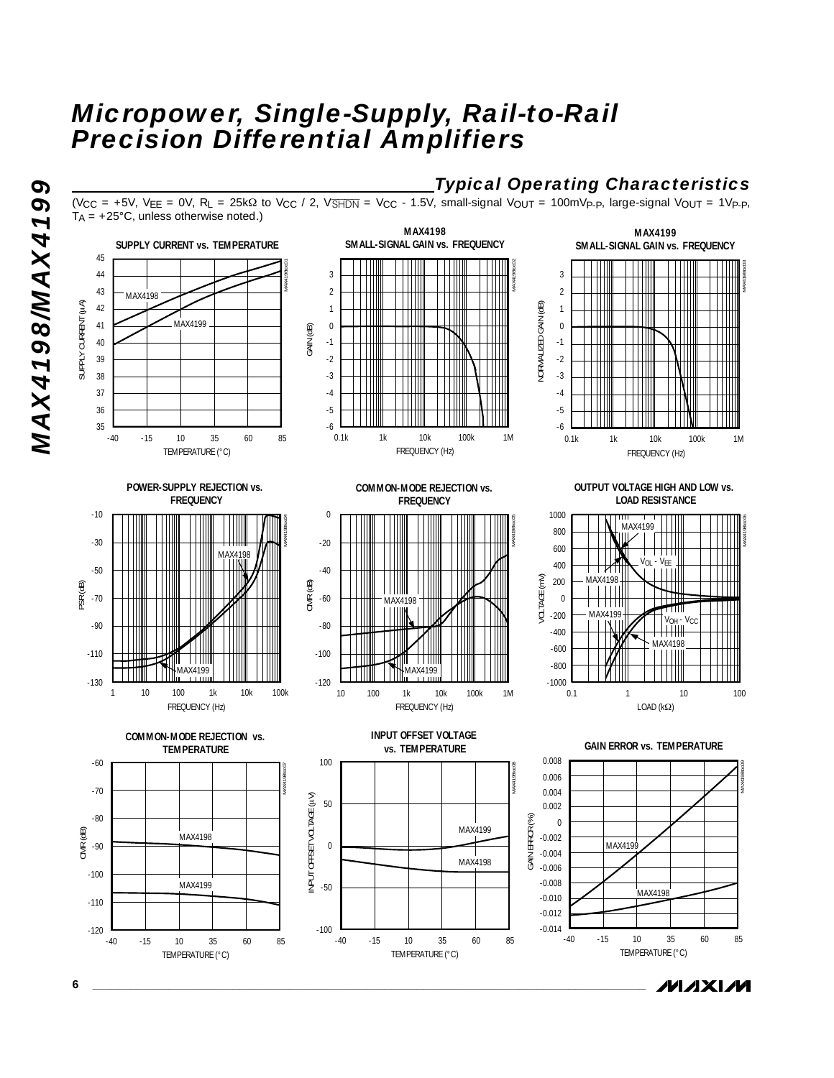*Typical Operating Characteristics* (V<sub>CC</sub> = +5V, V<sub>EE</sub> = 0V, R<sub>L</sub> = 25k $\Omega$  to V<sub>CC</sub> / 2, V<sub>SHDN</sub> = V<sub>CC</sub> - 1.5V, small-signal V<sub>OUT</sub> = 100mVp-p, large-signal V<sub>OUT</sub> = 1Vp-p,  $T_A = +25^{\circ}$ C, unless otherwise noted.)



**MAXM** 

**6 \_\_\_\_\_\_\_\_\_\_\_\_\_\_\_\_\_\_\_\_\_\_\_\_\_\_\_\_\_\_\_\_\_\_\_\_\_\_\_\_\_\_\_\_\_\_\_\_\_\_\_\_\_\_\_\_\_\_\_\_\_\_\_\_\_\_\_\_\_\_\_\_\_\_\_\_\_\_\_\_\_\_\_\_\_\_\_**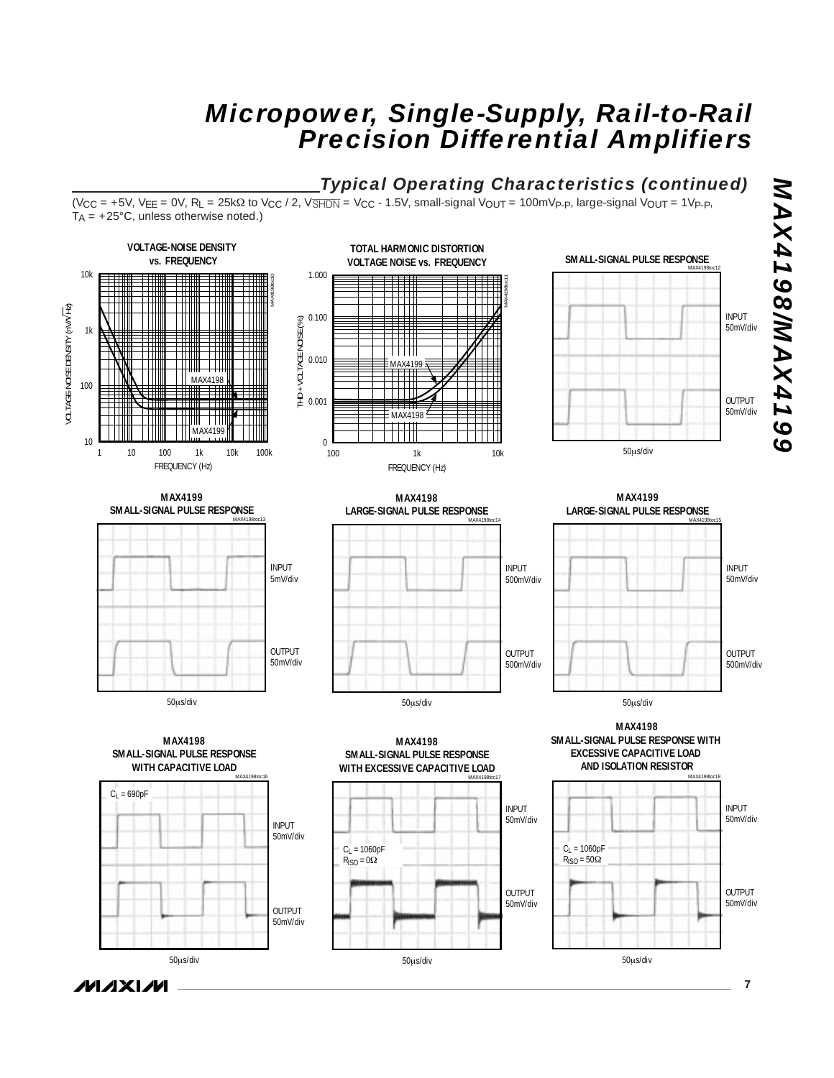## *Typical Operating Characteristics (continued)*

(V<sub>CC</sub> = +5V, V<sub>EE</sub> = 0V, R<sub>L</sub> = 25kΩ to V<sub>CC</sub> / 2, V<del>SHDN</del> = V<sub>CC</sub> - 1.5V, small-signal V<sub>OUT</sub> = 100mVp-p, large-signal V<sub>OUT</sub> = 1Vp-p,  $T_A$  = +25°C, unless otherwise noted.)



50µs/div

50µs/div

*IVI A* XI*IV*I

50mV/div

50µs/div

**\_\_\_\_\_\_\_\_\_\_\_\_\_\_\_\_\_\_\_\_\_\_\_\_\_\_\_\_\_\_\_\_\_\_\_\_\_\_\_\_\_\_\_\_\_\_\_\_\_\_\_\_\_\_\_\_\_\_\_\_\_\_\_\_\_\_\_\_\_\_\_\_\_\_\_\_\_\_\_\_\_\_\_\_\_\_\_ 7**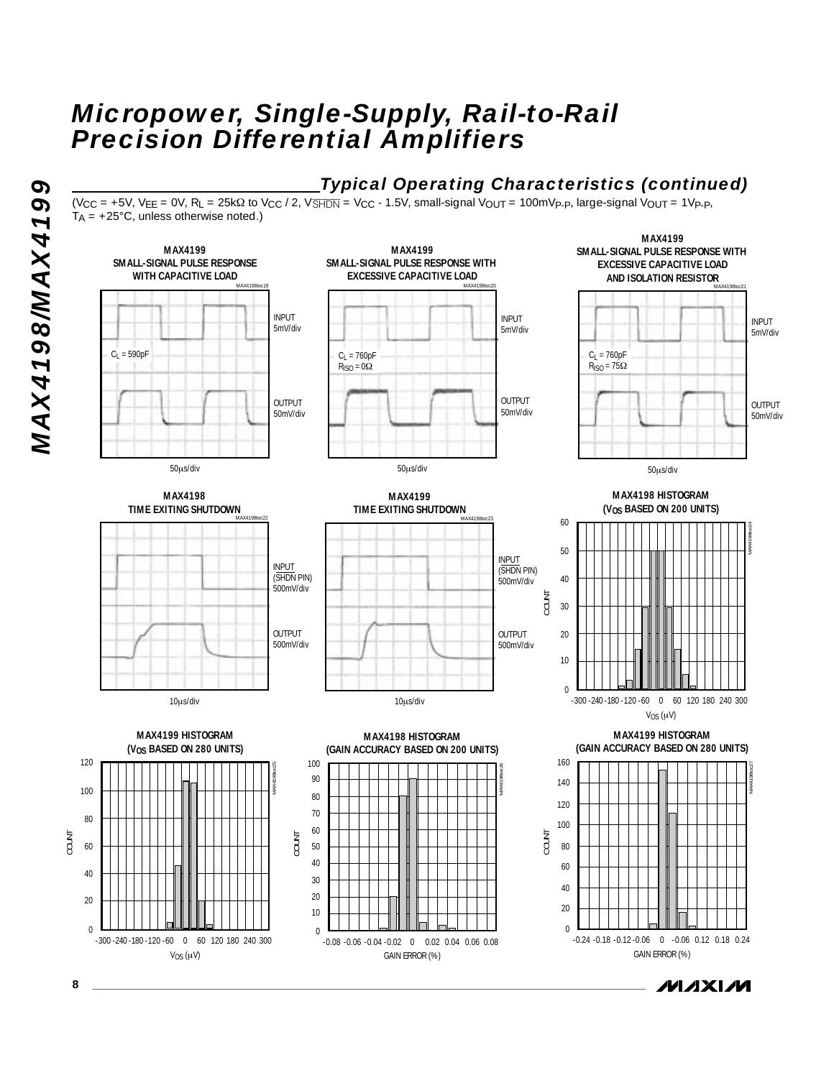# **MAX419891MAX4199** *MAX4198/MAX4199*



 $(V_{CC} = +5V, V_{EE} = 0V, R_L = 25k\Omega$  to  $V_{CC}/2$ ,  $V\overline{sHDN} = V_{CC} - 1.5V$ , small-signal  $V_{OUT} = 100mV_P$ -p, large-signal  $V_{OUT} = 1V_P$ -p,  $T_A = +25^{\circ}$ C, unless otherwise noted.)



**MAXM**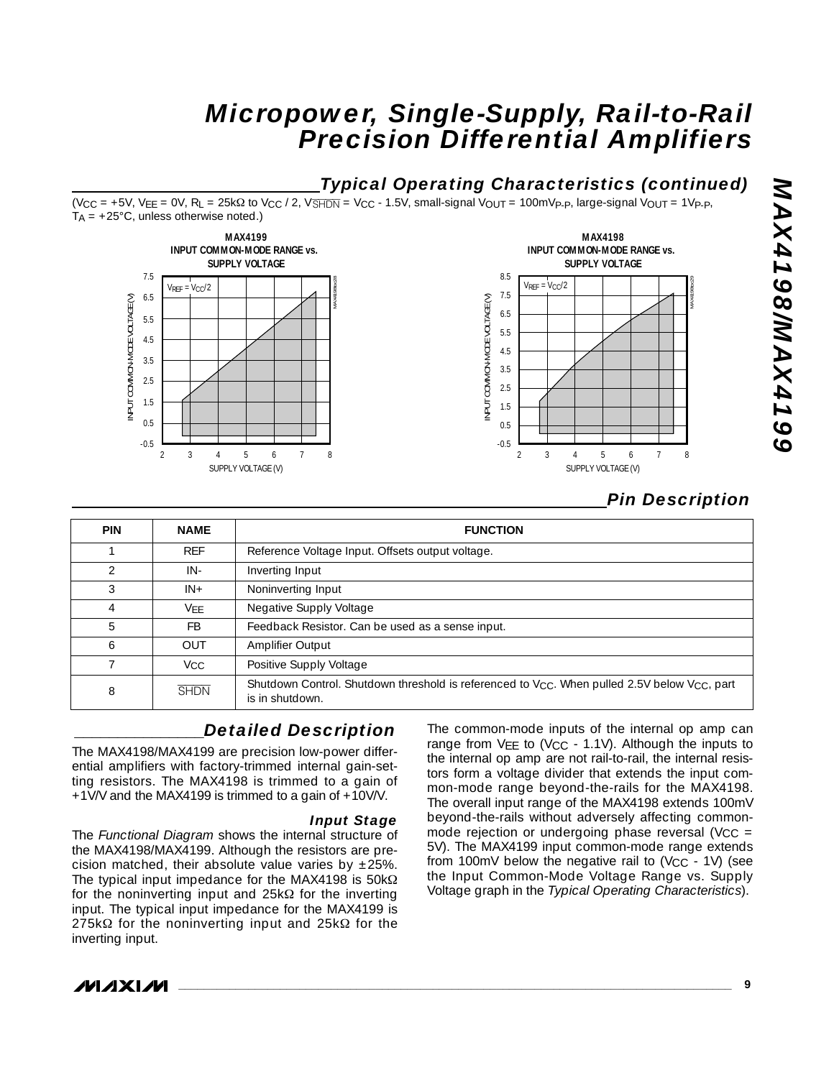## *Typical Operating Characteristics (continued)*

(VCC = +5V, VEE = 0V, RL = 25kΩ to VCC / 2, VSHDN = VCC - 1.5V, small-signal VOUT = 100mVP-P, large-signal VOUT = 1VP-P,  $T_A = +25^{\circ}C$ , unless otherwise noted.)





# **POTPXANMSPTPXAN** *MAX4198/MAX4199*

## *Pin Description*

| <b>PIN</b>               | <b>NAME</b>     | <b>FUNCTION</b>                                                                                                            |
|--------------------------|-----------------|----------------------------------------------------------------------------------------------------------------------------|
|                          | <b>REF</b>      | Reference Voltage Input. Offsets output voltage.                                                                           |
| $\overline{\mathcal{L}}$ | IN-             | Inverting Input                                                                                                            |
| 3                        | $IN +$          | Noninverting Input                                                                                                         |
| 4                        | VFF             | Negative Supply Voltage                                                                                                    |
| 5                        | FB              | Feedback Resistor. Can be used as a sense input.                                                                           |
| 6                        | <b>OUT</b>      | Amplifier Output                                                                                                           |
|                          | V <sub>CC</sub> | Positive Supply Voltage                                                                                                    |
| 8                        | <b>SHDN</b>     | Shutdown Control. Shutdown threshold is referenced to $V_{CC}$ . When pulled 2.5V below $V_{CC}$ , part<br>is in shutdown. |

## *\_\_\_\_\_\_\_\_\_\_\_\_\_\_\_Detailed Description*

The MAX4198/MAX4199 are precision low-power differential amplifiers with factory-trimmed internal gain-setting resistors. The MAX4198 is trimmed to a gain of +1V/V and the MAX4199 is trimmed to a gain of +10V/V.

#### *Input Stage*

The *Functional Diagram* shows the internal structure of the MAX4198/MAX4199. Although the resistors are precision matched, their absolute value varies by  $\pm 25\%$ . The typical input impedance for the MAX4198 is  $50k\Omega$ for the noninverting input and  $25k\Omega$  for the inverting input. The typical input impedance for the MAX4199 is 275kΩ for the noninverting input and 25kΩ for the inverting input.

The common-mode inputs of the internal op amp can range from  $VFF$  to (V<sub>CC</sub> - 1.1V). Although the inputs to the internal op amp are not rail-to-rail, the internal resistors form a voltage divider that extends the input common-mode range beyond-the-rails for the MAX4198. The overall input range of the MAX4198 extends 100mV beyond-the-rails without adversely affecting commonmode rejection or undergoing phase reversal ( $V_{CC}$  = 5V). The MAX4199 input common-mode range extends from 100mV below the negative rail to  $(V_{CC} - 1V)$  (see the Input Common-Mode Voltage Range vs. Supply Voltage graph in the *Typical Operating Characteristics*).

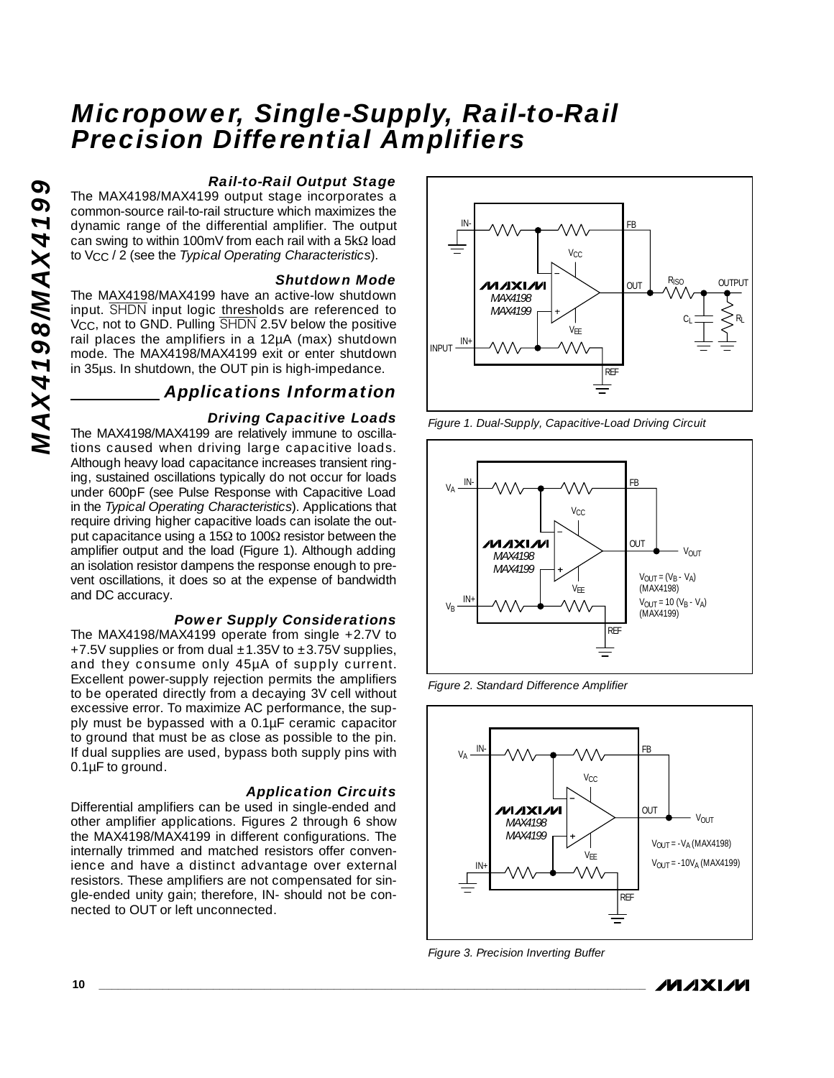#### *Rail-to-Rail Output Stage*

The MAX4198/MAX4199 output stage incorporates a common-source rail-to-rail structure which maximizes the dynamic range of the differential amplifier. The output can swing to within 100mV from each rail with a 5kΩ load to VCC / 2 (see the *Typical Operating Characteristics*).

#### *Shutdown Mode*

The MAX4198/MAX4199 have an active-low shutdown input. SHDN input logic thresholds are referenced to V<sub>CC</sub>, not to GND. Pulling SHDN 2.5V below the positive rail places the amplifiers in a 12µA (max) shutdown mode. The MAX4198/MAX4199 exit or enter shutdown in 35µs. In shutdown, the OUT pin is high-impedance.

#### *Applications Information*

#### *Driving Capacitive Loads*

The MAX4198/MAX4199 are relatively immune to oscillations caused when driving large capacitive loads. Although heavy load capacitance increases transient ringing, sustained oscillations typically do not occur for loads under 600pF (see Pulse Response with Capacitive Load in the *Typical Operating Characteristics*). Applications that require driving higher capacitive loads can isolate the output capacitance using a 15Ω to 100Ω resistor between the amplifier output and the load (Figure 1). Although adding an isolation resistor dampens the response enough to prevent oscillations, it does so at the expense of bandwidth and DC accuracy.

#### *Power Supply Considerations*

The MAX4198/MAX4199 operate from single +2.7V to +7.5V supplies or from dual  $\pm$ 1.35V to  $\pm$ 3.75V supplies, and they consume only 45µA of supply current. Excellent power-supply rejection permits the amplifiers to be operated directly from a decaying 3V cell without excessive error. To maximize AC performance, the supply must be bypassed with a 0.1µF ceramic capacitor to ground that must be as close as possible to the pin. If dual supplies are used, bypass both supply pins with 0.1µF to ground.

#### *Application Circuits*

Differential amplifiers can be used in single-ended and other amplifier applications. Figures 2 through 6 show the MAX4198/MAX4199 in different configurations. The internally trimmed and matched resistors offer convenience and have a distinct advantage over external resistors. These amplifiers are not compensated for single-ended unity gain; therefore, IN- should not be connected to OUT or left unconnected.



*Figure 1. Dual-Supply, Capacitive-Load Driving Circuit*



*Figure 2. Standard Difference Amplifier*



*Figure 3. Precision Inverting Buffer*

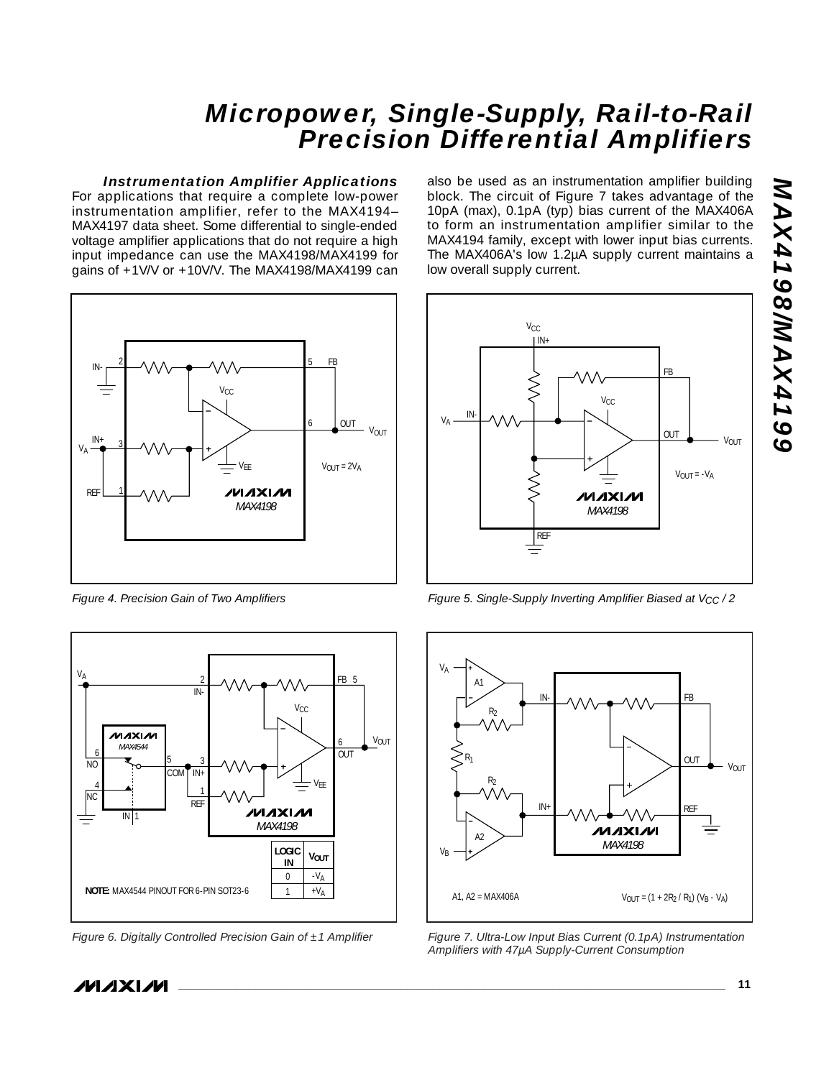#### *Instrumentation Amplifier Applications*

For applications that require a complete low-power instrumentation amplifier, refer to the MAX4194– MAX4197 data sheet. Some differential to single-ended voltage amplifier applications that do not require a high input impedance can use the MAX4198/MAX4199 for gains of +1V/V or +10V/V. The MAX4198/MAX4199 can



*Figure 4. Precision Gain of Two Amplifiers*



*Figure 6. Digitally Controlled Precision Gain of ±1 Amplifier*

also be used as an instrumentation amplifier building block. The circuit of Figure 7 takes advantage of the 10pA (max), 0.1pA (typ) bias current of the MAX406A to form an instrumentation amplifier similar to the MAX4194 family, except with lower input bias currents. The MAX406A's low 1.2µA supply current maintains a low overall supply current.



*Figure 5. Single-Supply Inverting Amplifier Biased at VCC / 2*



*Figure 7. Ultra-Low Input Bias Current (0.1pA) Instrumentation Amplifiers with 47µA Supply-Current Consumption*

**POTPXAMMSPTPXAM** *MAX4198/MAX4199*